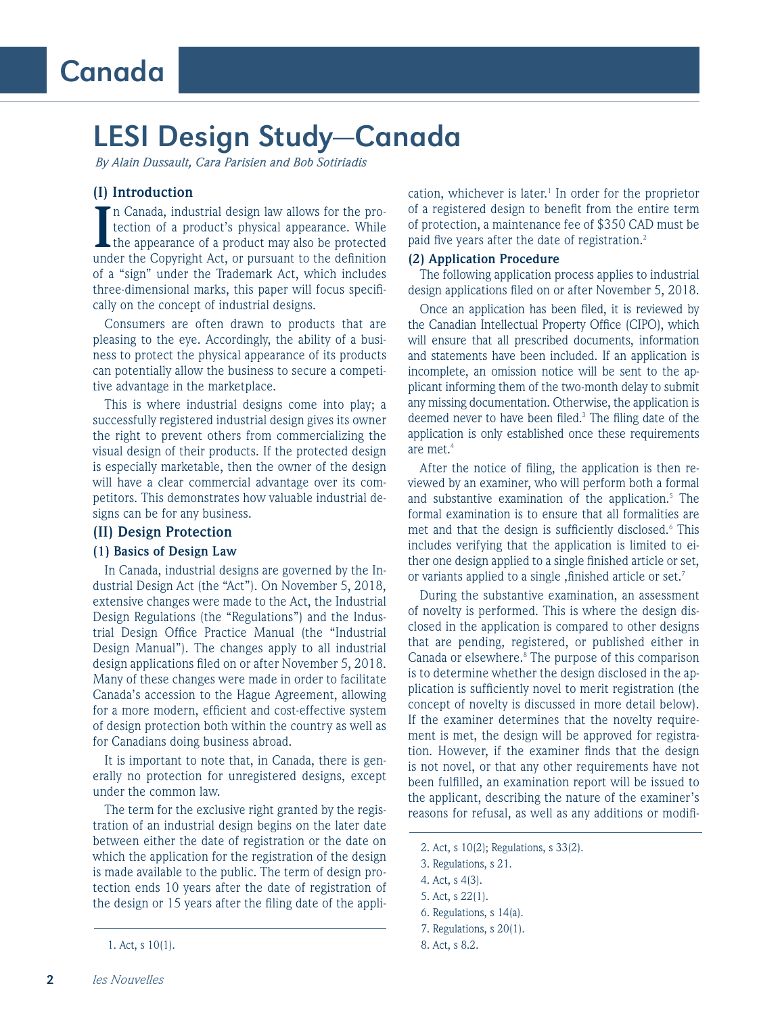# LESI Design Study—Canada

*By Alain Dussault, Cara Parisien and Bob Sotiriadis*

# **(I) Introduction**

In Canada, industrial design law allows for the protection of a product's physical appearance. While the appearance of a product may also be protected under the Copyright Act, or pursuant to the definition n Canada, industrial design law allows for the protection of a product's physical appearance. While the appearance of a product may also be protected of a "sign" under the Trademark Act, which includes three-dimensional marks, this paper will focus specifically on the concept of industrial designs.

Consumers are often drawn to products that are pleasing to the eye. Accordingly, the ability of a business to protect the physical appearance of its products can potentially allow the business to secure a competitive advantage in the marketplace.

This is where industrial designs come into play; a successfully registered industrial design gives its owner the right to prevent others from commercializing the visual design of their products. If the protected design is especially marketable, then the owner of the design will have a clear commercial advantage over its competitors. This demonstrates how valuable industrial designs can be for any business.

### **(II) Design Protection**

#### **(1) Basics of Design Law**

In Canada, industrial designs are governed by the Industrial Design Act (the "Act"). On November 5, 2018, extensive changes were made to the Act, the Industrial Design Regulations (the "Regulations") and the Industrial Design Office Practice Manual (the "Industrial Design Manual"). The changes apply to all industrial design applications filed on or after November 5, 2018. Many of these changes were made in order to facilitate Canada's accession to the Hague Agreement, allowing for a more modern, efficient and cost-effective system of design protection both within the country as well as for Canadians doing business abroad.

It is important to note that, in Canada, there is generally no protection for unregistered designs, except under the common law.

The term for the exclusive right granted by the registration of an industrial design begins on the later date between either the date of registration or the date on which the application for the registration of the design is made available to the public. The term of design protection ends 10 years after the date of registration of the design or 15 years after the filing date of the appli-

cation, whichever is later.<sup>1</sup> In order for the proprietor of a registered design to benefit from the entire term of protection, a maintenance fee of \$350 CAD must be paid five years after the date of registration.<sup>2</sup>

#### **(2) Application Procedure**

The following application process applies to industrial design applications filed on or after November 5, 2018.

Once an application has been filed, it is reviewed by the Canadian Intellectual Property Office (CIPO), which will ensure that all prescribed documents, information and statements have been included. If an application is incomplete, an omission notice will be sent to the applicant informing them of the two-month delay to submit any missing documentation. Otherwise, the application is deemed never to have been filed.<sup>3</sup> The filing date of the application is only established once these requirements are met.4

After the notice of filing, the application is then reviewed by an examiner, who will perform both a formal and substantive examination of the application.<sup>5</sup> The formal examination is to ensure that all formalities are met and that the design is sufficiently disclosed.<sup>6</sup> This includes verifying that the application is limited to either one design applied to a single finished article or set, or variants applied to a single , finished article or set.<sup>7</sup>

During the substantive examination, an assessment of novelty is performed. This is where the design disclosed in the application is compared to other designs that are pending, registered, or published either in Canada or elsewhere.<sup>8</sup> The purpose of this comparison is to determine whether the design disclosed in the application is sufficiently novel to merit registration (the concept of novelty is discussed in more detail below). If the examiner determines that the novelty requirement is met, the design will be approved for registration. However, if the examiner finds that the design is not novel, or that any other requirements have not been fulfilled, an examination report will be issued to the applicant, describing the nature of the examiner's reasons for refusal, as well as any additions or modifi-

<sup>1.</sup> Act, s 10(1).

<sup>2.</sup> Act, s 10(2); Regulations, s 33(2).

<sup>3.</sup> Regulations, s 21.

<sup>4.</sup> Act, s 4(3).

<sup>5.</sup> Act, s 22(1).

<sup>6.</sup> Regulations, s 14(a).

<sup>7.</sup> Regulations, s 20(1).

<sup>8.</sup> Act, s 8.2.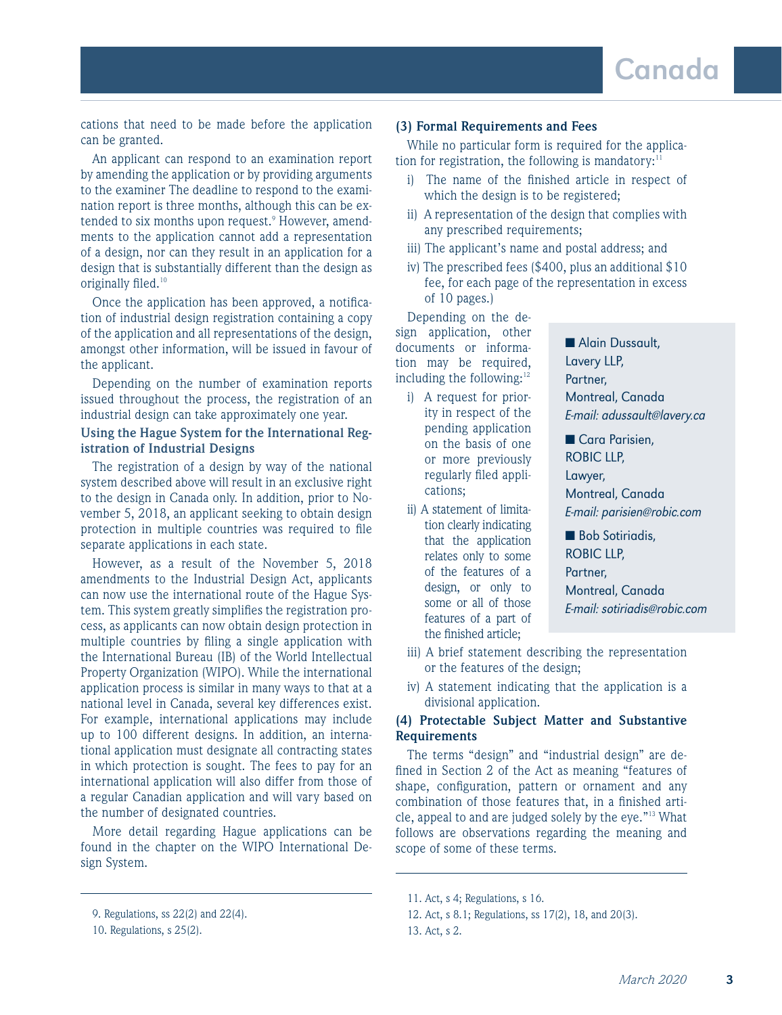cations that need to be made before the application can be granted.

An applicant can respond to an examination report by amending the application or by providing arguments to the examiner The deadline to respond to the examination report is three months, although this can be extended to six months upon request.<sup>9</sup> However, amendments to the application cannot add a representation of a design, nor can they result in an application for a design that is substantially different than the design as originally filed.<sup>10</sup>

Once the application has been approved, a notification of industrial design registration containing a copy of the application and all representations of the design, amongst other information, will be issued in favour of the applicant.

Depending on the number of examination reports issued throughout the process, the registration of an industrial design can take approximately one year.

# **Using the Hague System for the International Registration of Industrial Designs**

The registration of a design by way of the national system described above will result in an exclusive right to the design in Canada only. In addition, prior to November 5, 2018, an applicant seeking to obtain design protection in multiple countries was required to file separate applications in each state.

However, as a result of the November 5, 2018 amendments to the Industrial Design Act, applicants can now use the international route of the Hague System. This system greatly simplifies the registration process, as applicants can now obtain design protection in multiple countries by filing a single application with the International Bureau (IB) of the World Intellectual Property Organization (WIPO). While the international application process is similar in many ways to that at a national level in Canada, several key differences exist. For example, international applications may include up to 100 different designs. In addition, an international application must designate all contracting states in which protection is sought. The fees to pay for an international application will also differ from those of a regular Canadian application and will vary based on the number of designated countries.

More detail regarding Hague applications can be found in the chapter on the WIPO International Design System.

## **(3) Formal Requirements and Fees**

While no particular form is required for the application for registration, the following is mandatory:<sup>11</sup>

- i) The name of the finished article in respect of which the design is to be registered;
- ii) A representation of the design that complies with any prescribed requirements;
- iii) The applicant's name and postal address; and
- iv) The prescribed fees (\$400, plus an additional \$10 fee, for each page of the representation in excess of 10 pages.)

Depending on the design application, other documents or information may be required, including the following:<sup>12</sup>

- i) A request for priority in respect of the pending application on the basis of one or more previously regularly filed applications;
- ii) A statement of limitation clearly indicating that the application relates only to some of the features of a design, or only to some or all of those features of a part of the finished article;

■ Alain Dussault, Lavery LLP, Partner, Montreal, Canada E-mail: adussault@lavery.ca

■ Cara Parisien, ROBIC LLP, Lawyer, Montreal, Canada E-mail: parisien@robic.com

■ Bob Sotiriadis, ROBIC LLP, Partner, Montreal, Canada E-mail: sotiriadis@robic.com

- iii) A brief statement describing the representation or the features of the design;
- iv) A statement indicating that the application is a divisional application.

## **(4) Protectable Subject Matter and Substantive Requirements**

The terms "design" and "industrial design" are defined in Section 2 of the Act as meaning "features of shape, configuration, pattern or ornament and any combination of those features that, in a finished article, appeal to and are judged solely by the eye."13 What follows are observations regarding the meaning and scope of some of these terms.

<sup>9.</sup> Regulations, ss 22(2) and 22(4).

<sup>10.</sup> Regulations, s 25(2).

<sup>11.</sup> Act, s 4; Regulations, s 16.

<sup>12.</sup> Act, s 8.1; Regulations, ss 17(2), 18, and 20(3).

<sup>13.</sup> Act, s 2.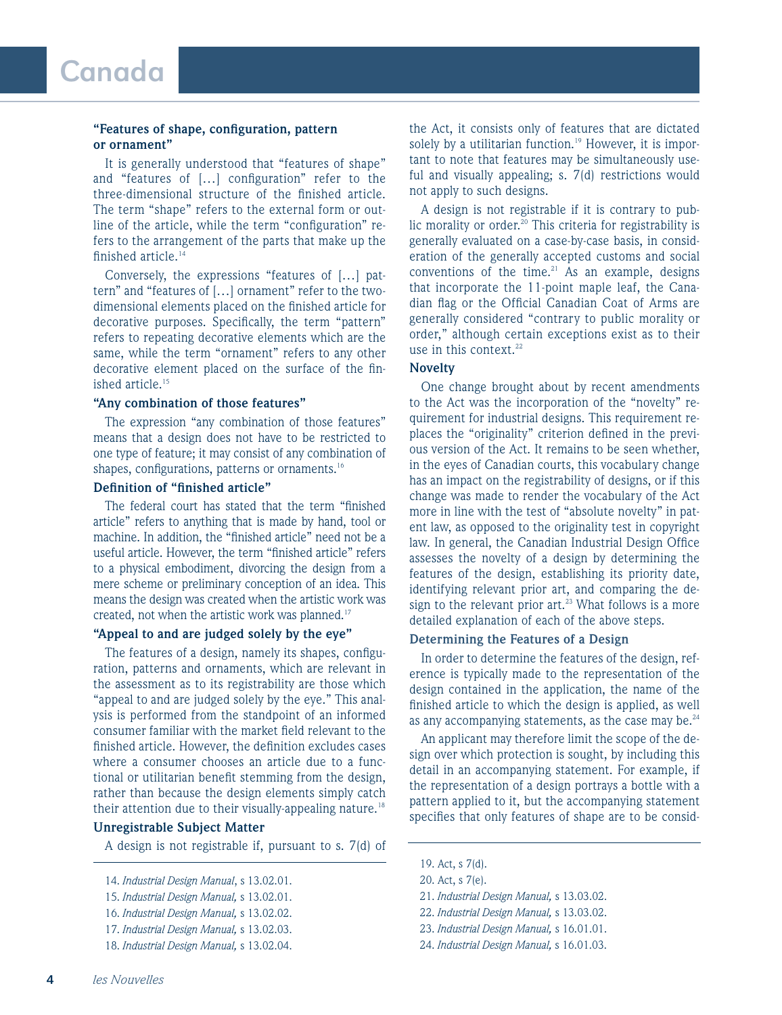## **"Features of shape, configuration, pattern or ornament"**

It is generally understood that "features of shape" and "features of […] configuration" refer to the three-dimensional structure of the finished article. The term "shape" refers to the external form or outline of the article, while the term "configuration" refers to the arrangement of the parts that make up the finished article.14

Conversely, the expressions "features of […] pattern" and "features of […] ornament" refer to the twodimensional elements placed on the finished article for decorative purposes. Specifically, the term "pattern" refers to repeating decorative elements which are the same, while the term "ornament" refers to any other decorative element placed on the surface of the finished article.<sup>15</sup>

#### **"Any combination of those features"**

The expression "any combination of those features" means that a design does not have to be restricted to one type of feature; it may consist of any combination of shapes, configurations, patterns or ornaments.<sup>16</sup>

## **Definition of "finished article"**

The federal court has stated that the term "finished article" refers to anything that is made by hand, tool or machine. In addition, the "finished article" need not be a useful article. However, the term "finished article" refers to a physical embodiment, divorcing the design from a mere scheme or preliminary conception of an idea. This means the design was created when the artistic work was created, not when the artistic work was planned.<sup>17</sup>

## **"Appeal to and are judged solely by the eye"**

The features of a design, namely its shapes, configuration, patterns and ornaments, which are relevant in the assessment as to its registrability are those which "appeal to and are judged solely by the eye." This analysis is performed from the standpoint of an informed consumer familiar with the market field relevant to the finished article. However, the definition excludes cases where a consumer chooses an article due to a functional or utilitarian benefit stemming from the design, rather than because the design elements simply catch their attention due to their visually-appealing nature.<sup>18</sup>

## **Unregistrable Subject Matter**

A design is not registrable if, pursuant to s. 7(d) of

the Act, it consists only of features that are dictated solely by a utilitarian function.<sup>19</sup> However, it is important to note that features may be simultaneously useful and visually appealing; s. 7(d) restrictions would not apply to such designs.

A design is not registrable if it is contrary to public morality or order.<sup>20</sup> This criteria for registrability is generally evaluated on a case-by-case basis, in consideration of the generally accepted customs and social conventions of the time. $21$  As an example, designs that incorporate the 11-point maple leaf, the Canadian flag or the Official Canadian Coat of Arms are generally considered "contrary to public morality or order," although certain exceptions exist as to their use in this context.<sup>22</sup>

# **Novelty**

One change brought about by recent amendments to the Act was the incorporation of the "novelty" requirement for industrial designs. This requirement replaces the "originality" criterion defined in the previous version of the Act. It remains to be seen whether, in the eyes of Canadian courts, this vocabulary change has an impact on the registrability of designs, or if this change was made to render the vocabulary of the Act more in line with the test of "absolute novelty" in patent law, as opposed to the originality test in copyright law. In general, the Canadian Industrial Design Office assesses the novelty of a design by determining the features of the design, establishing its priority date, identifying relevant prior art, and comparing the design to the relevant prior  $art.^{23}$  What follows is a more detailed explanation of each of the above steps.

## **Determining the Features of a Design**

In order to determine the features of the design, reference is typically made to the representation of the design contained in the application, the name of the finished article to which the design is applied, as well as any accompanying statements, as the case may be. $^{24}$ 

An applicant may therefore limit the scope of the design over which protection is sought, by including this detail in an accompanying statement. For example, if the representation of a design portrays a bottle with a pattern applied to it, but the accompanying statement specifies that only features of shape are to be consid-

- 22. *Industrial Design Manual,* s 13.03.02.
- 23. *Industrial Design Manual,* s 16.01.01.
- 24. *Industrial Design Manual,* s 16.01.03.

<sup>14.</sup> *Industrial Design Manual*, s 13.02.01.

<sup>15.</sup> *Industrial Design Manual,* s 13.02.01.

<sup>16.</sup> *Industrial Design Manual,* s 13.02.02.

<sup>17.</sup> *Industrial Design Manual,* s 13.02.03.

<sup>18.</sup> *Industrial Design Manual,* s 13.02.04.

<sup>19.</sup> Act, s 7(d).

<sup>20.</sup> Act, s 7(e).

<sup>21.</sup> *Industrial Design Manual,* s 13.03.02.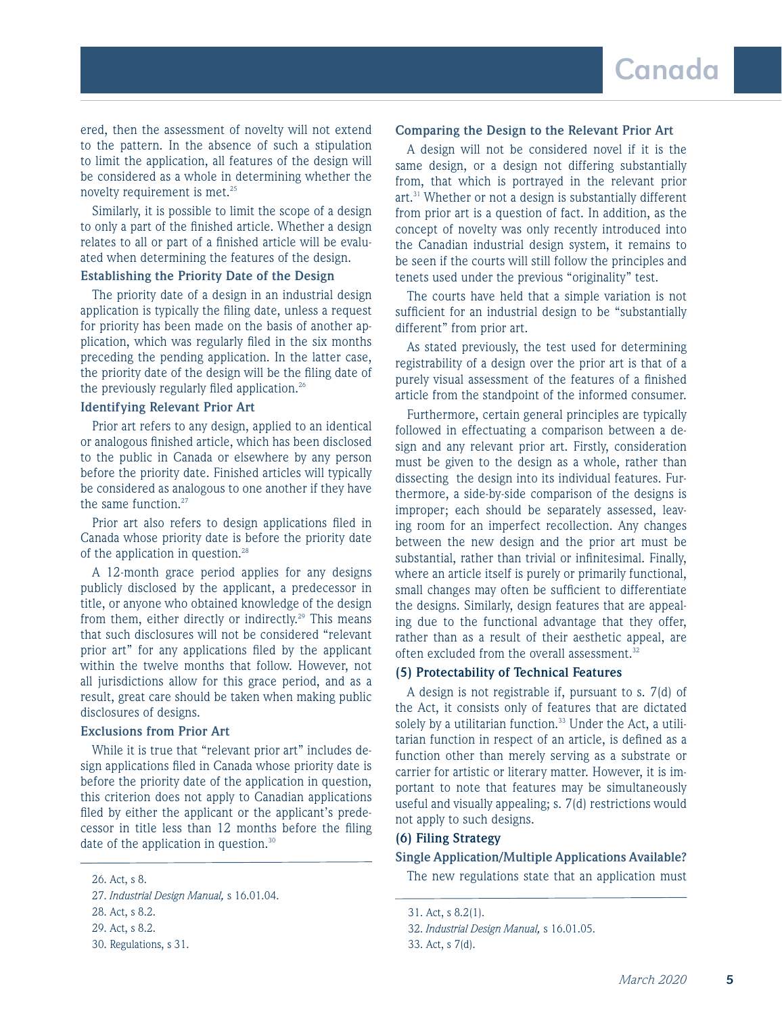ered, then the assessment of novelty will not extend to the pattern. In the absence of such a stipulation to limit the application, all features of the design will be considered as a whole in determining whether the novelty requirement is met. $25$ 

Similarly, it is possible to limit the scope of a design to only a part of the finished article. Whether a design relates to all or part of a finished article will be evaluated when determining the features of the design.

#### **Establishing the Priority Date of the Design**

The priority date of a design in an industrial design application is typically the filing date, unless a request for priority has been made on the basis of another application, which was regularly filed in the six months preceding the pending application. In the latter case, the priority date of the design will be the filing date of the previously regularly filed application.<sup>26</sup>

## **Identifying Relevant Prior Art**

Prior art refers to any design, applied to an identical or analogous finished article, which has been disclosed to the public in Canada or elsewhere by any person before the priority date. Finished articles will typically be considered as analogous to one another if they have the same function. $27$ 

Prior art also refers to design applications filed in Canada whose priority date is before the priority date of the application in question.<sup>28</sup>

A 12-month grace period applies for any designs publicly disclosed by the applicant, a predecessor in title, or anyone who obtained knowledge of the design from them, either directly or indirectly.<sup>29</sup> This means that such disclosures will not be considered "relevant prior art" for any applications filed by the applicant within the twelve months that follow. However, not all jurisdictions allow for this grace period, and as a result, great care should be taken when making public disclosures of designs.

#### **Exclusions from Prior Art**

While it is true that "relevant prior art" includes design applications filed in Canada whose priority date is before the priority date of the application in question, this criterion does not apply to Canadian applications filed by either the applicant or the applicant's predecessor in title less than 12 months before the filing date of the application in question.<sup>30</sup>

# **Comparing the Design to the Relevant Prior Art**

A design will not be considered novel if it is the same design, or a design not differing substantially from, that which is portrayed in the relevant prior art.<sup>31</sup> Whether or not a design is substantially different from prior art is a question of fact. In addition, as the concept of novelty was only recently introduced into the Canadian industrial design system, it remains to be seen if the courts will still follow the principles and tenets used under the previous "originality" test.

The courts have held that a simple variation is not sufficient for an industrial design to be "substantially different" from prior art.

As stated previously, the test used for determining registrability of a design over the prior art is that of a purely visual assessment of the features of a finished article from the standpoint of the informed consumer.

Furthermore, certain general principles are typically followed in effectuating a comparison between a design and any relevant prior art. Firstly, consideration must be given to the design as a whole, rather than dissecting the design into its individual features. Furthermore, a side-by-side comparison of the designs is improper; each should be separately assessed, leaving room for an imperfect recollection. Any changes between the new design and the prior art must be substantial, rather than trivial or infinitesimal. Finally, where an article itself is purely or primarily functional, small changes may often be sufficient to differentiate the designs. Similarly, design features that are appealing due to the functional advantage that they offer, rather than as a result of their aesthetic appeal, are often excluded from the overall assessment.<sup>32</sup>

#### **(5) Protectability of Technical Features**

A design is not registrable if, pursuant to s. 7(d) of the Act, it consists only of features that are dictated solely by a utilitarian function.<sup>33</sup> Under the Act, a utilitarian function in respect of an article, is defined as a function other than merely serving as a substrate or carrier for artistic or literary matter. However, it is important to note that features may be simultaneously useful and visually appealing; s. 7(d) restrictions would not apply to such designs.

## **(6) Filing Strategy**

## **Single Application/Multiple Applications Available?**

26. Act, s 8. The new regulations state that an application must

<sup>27.</sup> *Industrial Design Manual,* s 16.01.04.

<sup>28.</sup> Act, s 8.2.

<sup>29.</sup> Act, s 8.2.

<sup>30.</sup> Regulations, s 31.

<sup>31.</sup> Act, s 8.2(1).

<sup>32.</sup> *Industrial Design Manual,* s 16.01.05.

<sup>33.</sup> Act, s 7(d).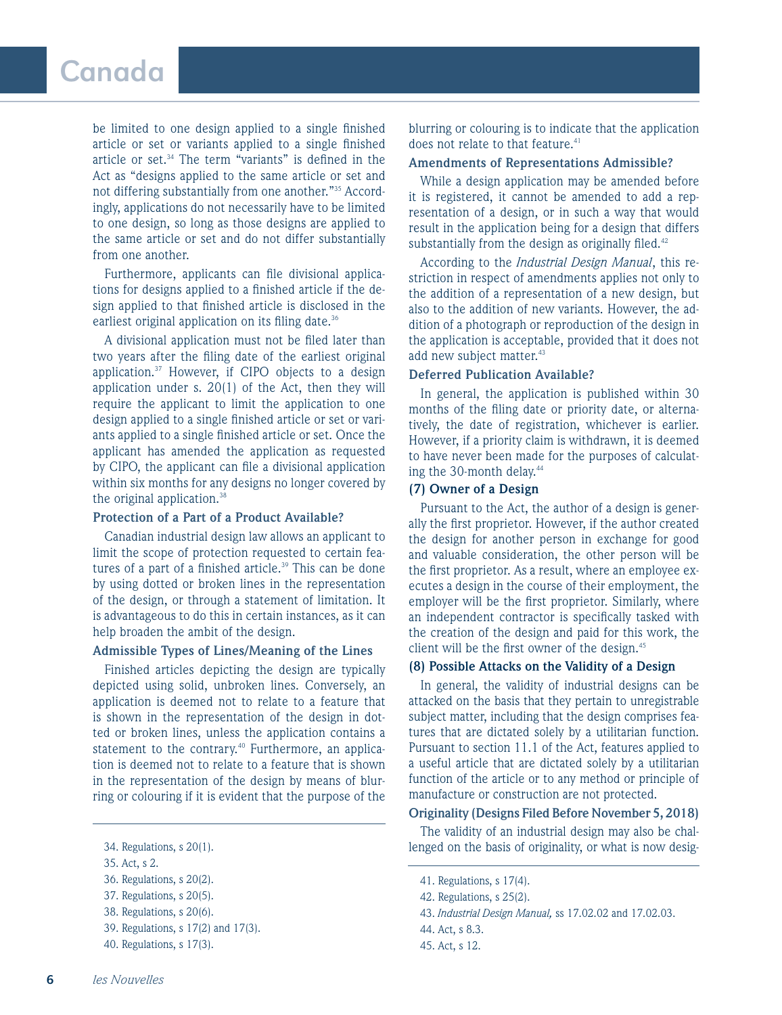be limited to one design applied to a single finished article or set or variants applied to a single finished article or set.34 The term "variants" is defined in the Act as "designs applied to the same article or set and not differing substantially from one another."35 Accordingly, applications do not necessarily have to be limited to one design, so long as those designs are applied to the same article or set and do not differ substantially from one another.

Furthermore, applicants can file divisional applications for designs applied to a finished article if the design applied to that finished article is disclosed in the earliest original application on its filing date.<sup>36</sup>

A divisional application must not be filed later than two years after the filing date of the earliest original application.<sup>37</sup> However, if CIPO objects to a design application under s. 20(1) of the Act, then they will require the applicant to limit the application to one design applied to a single finished article or set or variants applied to a single finished article or set. Once the applicant has amended the application as requested by CIPO, the applicant can file a divisional application within six months for any designs no longer covered by the original application.<sup>38</sup>

#### **Protection of a Part of a Product Available?**

Canadian industrial design law allows an applicant to limit the scope of protection requested to certain features of a part of a finished article.<sup>39</sup> This can be done by using dotted or broken lines in the representation of the design, or through a statement of limitation. It is advantageous to do this in certain instances, as it can help broaden the ambit of the design.

## **Admissible Types of Lines/Meaning of the Lines**

Finished articles depicting the design are typically depicted using solid, unbroken lines. Conversely, an application is deemed not to relate to a feature that is shown in the representation of the design in dotted or broken lines, unless the application contains a statement to the contrary.<sup>40</sup> Furthermore, an application is deemed not to relate to a feature that is shown in the representation of the design by means of blurring or colouring if it is evident that the purpose of the

blurring or colouring is to indicate that the application does not relate to that feature.<sup>41</sup>

## **Amendments of Representations Admissible?**

While a design application may be amended before it is registered, it cannot be amended to add a representation of a design, or in such a way that would result in the application being for a design that differs substantially from the design as originally filed. $42$ 

According to the *Industrial Design Manual*, this restriction in respect of amendments applies not only to the addition of a representation of a new design, but also to the addition of new variants. However, the addition of a photograph or reproduction of the design in the application is acceptable, provided that it does not add new subject matter.<sup>43</sup>

# **Deferred Publication Available?**

In general, the application is published within 30 months of the filing date or priority date, or alternatively, the date of registration, whichever is earlier. However, if a priority claim is withdrawn, it is deemed to have never been made for the purposes of calculating the 30-month delay.<sup>44</sup>

#### **(7) Owner of a Design**

Pursuant to the Act, the author of a design is generally the first proprietor. However, if the author created the design for another person in exchange for good and valuable consideration, the other person will be the first proprietor. As a result, where an employee executes a design in the course of their employment, the employer will be the first proprietor. Similarly, where an independent contractor is specifically tasked with the creation of the design and paid for this work, the client will be the first owner of the design.<sup>45</sup>

## **(8) Possible Attacks on the Validity of a Design**

In general, the validity of industrial designs can be attacked on the basis that they pertain to unregistrable subject matter, including that the design comprises features that are dictated solely by a utilitarian function. Pursuant to section 11.1 of the Act, features applied to a useful article that are dictated solely by a utilitarian function of the article or to any method or principle of manufacture or construction are not protected.

## **Originality (Designs Filed Before November 5, 2018)**

The validity of an industrial design may also be chal-34. Regulations, s 20(1). lenged on the basis of originality, or what is now desig-

<sup>35.</sup> Act, s 2.

<sup>36.</sup> Regulations, s 20(2).

<sup>37.</sup> Regulations, s 20(5).

<sup>38.</sup> Regulations, s 20(6).

<sup>39.</sup> Regulations, s 17(2) and 17(3).

<sup>40.</sup> Regulations, s 17(3).

<sup>41.</sup> Regulations, s 17(4).

<sup>42.</sup> Regulations, s 25(2).

<sup>43.</sup> *Industrial Design Manual,* ss 17.02.02 and 17.02.03.

<sup>44.</sup> Act, s 8.3.

<sup>45.</sup> Act, s 12.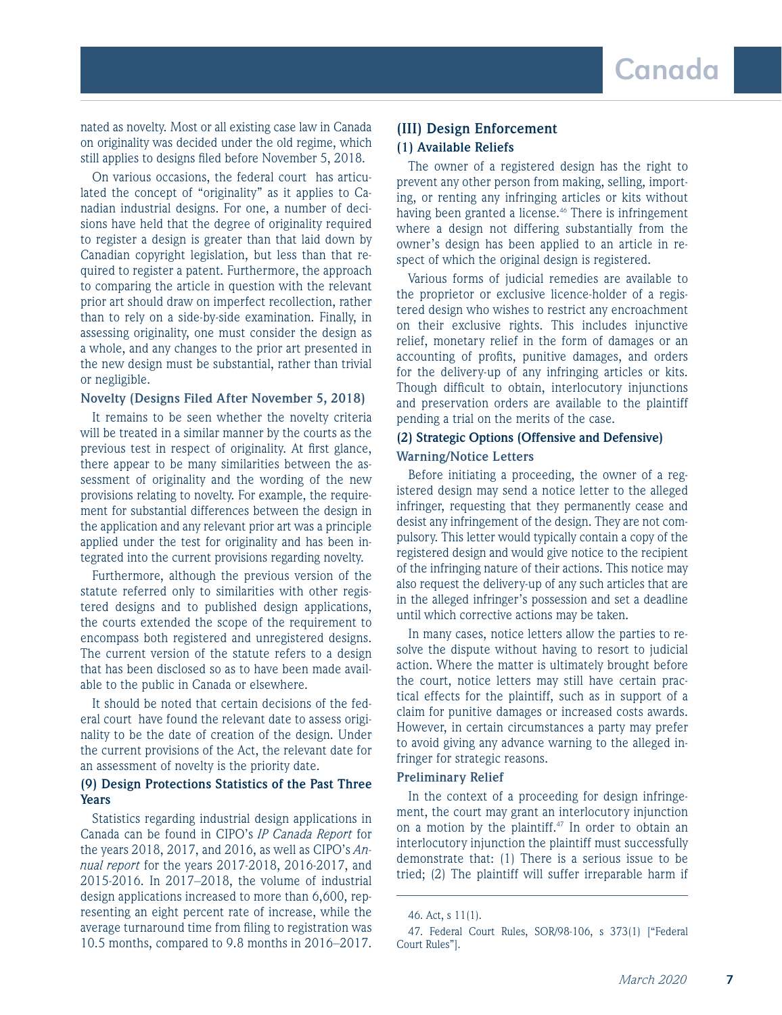nated as novelty. Most or all existing case law in Canada on originality was decided under the old regime, which still applies to designs filed before November 5, 2018.

On various occasions, the federal court has articulated the concept of "originality" as it applies to Canadian industrial designs. For one, a number of decisions have held that the degree of originality required to register a design is greater than that laid down by Canadian copyright legislation, but less than that required to register a patent. Furthermore, the approach to comparing the article in question with the relevant prior art should draw on imperfect recollection, rather than to rely on a side-by-side examination. Finally, in assessing originality, one must consider the design as a whole, and any changes to the prior art presented in the new design must be substantial, rather than trivial or negligible.

## **Novelty (Designs Filed After November 5, 2018)**

It remains to be seen whether the novelty criteria will be treated in a similar manner by the courts as the previous test in respect of originality. At first glance, there appear to be many similarities between the assessment of originality and the wording of the new provisions relating to novelty. For example, the requirement for substantial differences between the design in the application and any relevant prior art was a principle applied under the test for originality and has been integrated into the current provisions regarding novelty.

Furthermore, although the previous version of the statute referred only to similarities with other registered designs and to published design applications, the courts extended the scope of the requirement to encompass both registered and unregistered designs. The current version of the statute refers to a design that has been disclosed so as to have been made available to the public in Canada or elsewhere.

It should be noted that certain decisions of the federal court have found the relevant date to assess originality to be the date of creation of the design. Under the current provisions of the Act, the relevant date for an assessment of novelty is the priority date.

# **(9) Design Protections Statistics of the Past Three Years**

Statistics regarding industrial design applications in Canada can be found in CIPO's *IP Canada Report* for the years 2018, 2017, and 2016, as well as CIPO's *Annual report* for the years 2017-2018, 2016-2017, and 2015-2016. In 2017–2018, the volume of industrial design applications increased to more than 6,600, representing an eight percent rate of increase, while the average turnaround time from filing to registration was 10.5 months, compared to 9.8 months in 2016–2017.

# **(III) Design Enforcement (1) Available Reliefs**

The owner of a registered design has the right to prevent any other person from making, selling, importing, or renting any infringing articles or kits without having been granted a license.<sup>46</sup> There is infringement where a design not differing substantially from the owner's design has been applied to an article in respect of which the original design is registered.

Various forms of judicial remedies are available to the proprietor or exclusive licence-holder of a registered design who wishes to restrict any encroachment on their exclusive rights. This includes injunctive relief, monetary relief in the form of damages or an accounting of profits, punitive damages, and orders for the delivery-up of any infringing articles or kits. Though difficult to obtain, interlocutory injunctions and preservation orders are available to the plaintiff pending a trial on the merits of the case.

# **(2) Strategic Options (Offensive and Defensive) Warning/Notice Letters**

Before initiating a proceeding, the owner of a registered design may send a notice letter to the alleged infringer, requesting that they permanently cease and desist any infringement of the design. They are not compulsory. This letter would typically contain a copy of the registered design and would give notice to the recipient of the infringing nature of their actions. This notice may also request the delivery-up of any such articles that are in the alleged infringer's possession and set a deadline until which corrective actions may be taken.

In many cases, notice letters allow the parties to resolve the dispute without having to resort to judicial action. Where the matter is ultimately brought before the court, notice letters may still have certain practical effects for the plaintiff, such as in support of a claim for punitive damages or increased costs awards. However, in certain circumstances a party may prefer to avoid giving any advance warning to the alleged infringer for strategic reasons.

# **Preliminary Relief**

In the context of a proceeding for design infringement, the court may grant an interlocutory injunction on a motion by the plaintiff.<sup>47</sup> In order to obtain an interlocutory injunction the plaintiff must successfully demonstrate that: (1) There is a serious issue to be tried; (2) The plaintiff will suffer irreparable harm if

<sup>46.</sup> Act, s 11(1).

<sup>47.</sup> Federal Court Rules, SOR/98-106, s 373(1) ["Federal Court Rules"].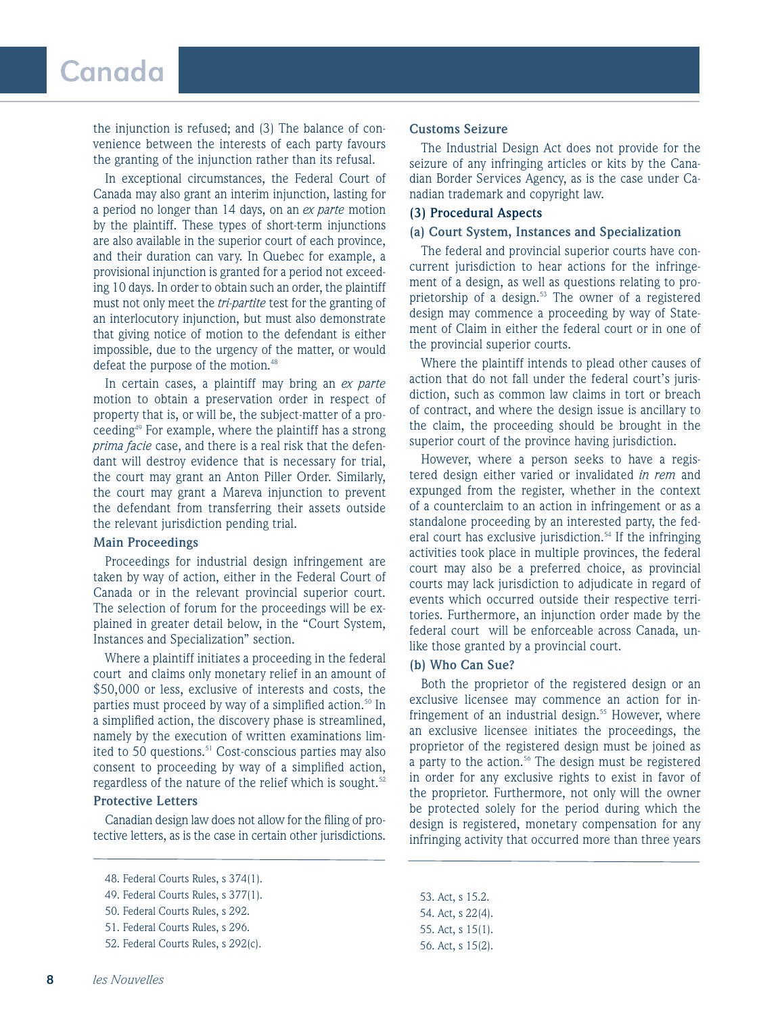# Canada

the injunction is refused; and (3) The balance of convenience between the interests of each party favours the granting of the injunction rather than its refusal.

In exceptional circumstances, the Federal Court of Canada may also grant an interim injunction, lasting for a period no longer than 14 days, on an *ex parte* motion by the plaintiff. These types of short-term injunctions are also available in the superior court of each province, and their duration can vary. In Quebec for example, a provisional injunction is granted for a period not exceeding 10 days. In order to obtain such an order, the plaintiff must not only meet the *tri-partite* test for the granting of an interlocutory injunction, but must also demonstrate that giving notice of motion to the defendant is either impossible, due to the urgency of the matter, or would defeat the purpose of the motion.<sup>48</sup>

In certain cases, a plaintiff may bring an *ex parte* motion to obtain a preservation order in respect of property that is, or will be, the subject-matter of a proceeding<sup>49</sup> For example, where the plaintiff has a strong *prima facie* case, and there is a real risk that the defendant will destroy evidence that is necessary for trial, the court may grant an Anton Piller Order. Similarly, the court may grant a Mareva injunction to prevent the defendant from transferring their assets outside the relevant jurisdiction pending trial.

#### **Main Proceedings**

Proceedings for industrial design infringement are taken by way of action, either in the Federal Court of Canada or in the relevant provincial superior court. The selection of forum for the proceedings will be explained in greater detail below, in the "Court System, Instances and Specialization" section.

Where a plaintiff initiates a proceeding in the federal court and claims only monetary relief in an amount of \$50,000 or less, exclusive of interests and costs, the parties must proceed by way of a simplified action.<sup>50</sup> In a simplified action, the discovery phase is streamlined, namely by the execution of written examinations limited to 50 questions.<sup>51</sup> Cost-conscious parties may also consent to proceeding by way of a simplified action, regardless of the nature of the relief which is sought. $52$ 

## **Protective Letters**

Canadian design law does not allow for the filing of protective letters, as is the case in certain other jurisdictions.

#### **Customs Seizure**

The Industrial Design Act does not provide for the seizure of any infringing articles or kits by the Canadian Border Services Agency, as is the case under Canadian trademark and copyright law.

## **(3) Procedural Aspects**

#### **(a) Court System, Instances and Specialization**

The federal and provincial superior courts have concurrent jurisdiction to hear actions for the infringement of a design, as well as questions relating to proprietorship of a design.<sup>53</sup> The owner of a registered design may commence a proceeding by way of Statement of Claim in either the federal court or in one of the provincial superior courts.

Where the plaintiff intends to plead other causes of action that do not fall under the federal court's jurisdiction, such as common law claims in tort or breach of contract, and where the design issue is ancillary to the claim, the proceeding should be brought in the superior court of the province having jurisdiction.

However, where a person seeks to have a registered design either varied or invalidated *in rem* and expunged from the register, whether in the context of a counterclaim to an action in infringement or as a standalone proceeding by an interested party, the federal court has exclusive jurisdiction.<sup>54</sup> If the infringing activities took place in multiple provinces, the federal court may also be a preferred choice, as provincial courts may lack jurisdiction to adjudicate in regard of events which occurred outside their respective territories. Furthermore, an injunction order made by the federal court will be enforceable across Canada, unlike those granted by a provincial court.

## **(b) Who Can Sue?**

Both the proprietor of the registered design or an exclusive licensee may commence an action for infringement of an industrial design.<sup>55</sup> However, where an exclusive licensee initiates the proceedings, the proprietor of the registered design must be joined as a party to the action.<sup>56</sup> The design must be registered in order for any exclusive rights to exist in favor of the proprietor. Furthermore, not only will the owner be protected solely for the period during which the design is registered, monetary compensation for any infringing activity that occurred more than three years

53. Act, s 15.2. 54. Act, s 22(4). 55. Act, s 15(1). 56. Act, s 15(2).

<sup>48.</sup> Federal Courts Rules, s 374(1).

<sup>49.</sup> Federal Courts Rules, s 377(1).

<sup>50.</sup> Federal Courts Rules, s 292.

<sup>51.</sup> Federal Courts Rules, s 296.

<sup>52.</sup> Federal Courts Rules, s 292(c).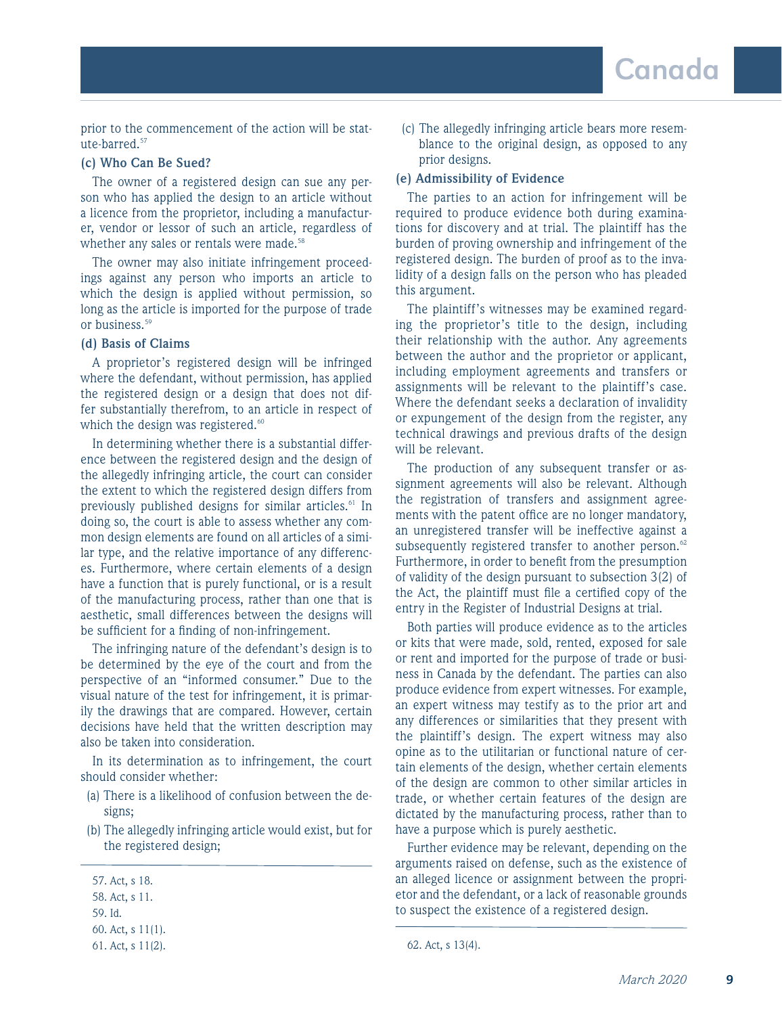prior to the commencement of the action will be statute-barred.<sup>57</sup>

## **(c) Who Can Be Sued?**

The owner of a registered design can sue any person who has applied the design to an article without a licence from the proprietor, including a manufacturer, vendor or lessor of such an article, regardless of whether any sales or rentals were made.<sup>58</sup>

The owner may also initiate infringement proceedings against any person who imports an article to which the design is applied without permission, so long as the article is imported for the purpose of trade or business.<sup>59</sup>

#### **(d) Basis of Claims**

A proprietor's registered design will be infringed where the defendant, without permission, has applied the registered design or a design that does not differ substantially therefrom, to an article in respect of which the design was registered.<sup>60</sup>

In determining whether there is a substantial difference between the registered design and the design of the allegedly infringing article, the court can consider the extent to which the registered design differs from previously published designs for similar articles.<sup>61</sup> In doing so, the court is able to assess whether any common design elements are found on all articles of a similar type, and the relative importance of any differences. Furthermore, where certain elements of a design have a function that is purely functional, or is a result of the manufacturing process, rather than one that is aesthetic, small differences between the designs will be sufficient for a finding of non-infringement.

The infringing nature of the defendant's design is to be determined by the eye of the court and from the perspective of an "informed consumer." Due to the visual nature of the test for infringement, it is primarily the drawings that are compared. However, certain decisions have held that the written description may also be taken into consideration.

In its determination as to infringement, the court should consider whether:

- (a) There is a likelihood of confusion between the designs;
- (b) The allegedly infringing article would exist, but for the registered design;

60. Act, s 11(1).

(c) The allegedly infringing article bears more resemblance to the original design, as opposed to any prior designs.

#### **(e) Admissibility of Evidence**

The parties to an action for infringement will be required to produce evidence both during examinations for discovery and at trial. The plaintiff has the burden of proving ownership and infringement of the registered design. The burden of proof as to the invalidity of a design falls on the person who has pleaded this argument.

The plaintiff's witnesses may be examined regarding the proprietor's title to the design, including their relationship with the author. Any agreements between the author and the proprietor or applicant, including employment agreements and transfers or assignments will be relevant to the plaintiff's case. Where the defendant seeks a declaration of invalidity or expungement of the design from the register, any technical drawings and previous drafts of the design will be relevant.

The production of any subsequent transfer or assignment agreements will also be relevant. Although the registration of transfers and assignment agreements with the patent office are no longer mandatory, an unregistered transfer will be ineffective against a subsequently registered transfer to another person.<sup>62</sup> Furthermore, in order to benefit from the presumption of validity of the design pursuant to subsection 3(2) of the Act, the plaintiff must file a certified copy of the entry in the Register of Industrial Designs at trial.

Both parties will produce evidence as to the articles or kits that were made, sold, rented, exposed for sale or rent and imported for the purpose of trade or business in Canada by the defendant. The parties can also produce evidence from expert witnesses. For example, an expert witness may testify as to the prior art and any differences or similarities that they present with the plaintiff's design. The expert witness may also opine as to the utilitarian or functional nature of certain elements of the design, whether certain elements of the design are common to other similar articles in trade, or whether certain features of the design are dictated by the manufacturing process, rather than to have a purpose which is purely aesthetic.

Further evidence may be relevant, depending on the arguments raised on defense, such as the existence of an alleged licence or assignment between the proprietor and the defendant, or a lack of reasonable grounds to suspect the existence of a registered design.

<sup>57.</sup> Act, s 18.

<sup>58.</sup> Act, s 11.

<sup>59.</sup> Id.

<sup>61.</sup> Act, s 11(2). 62. Act, s 13(4).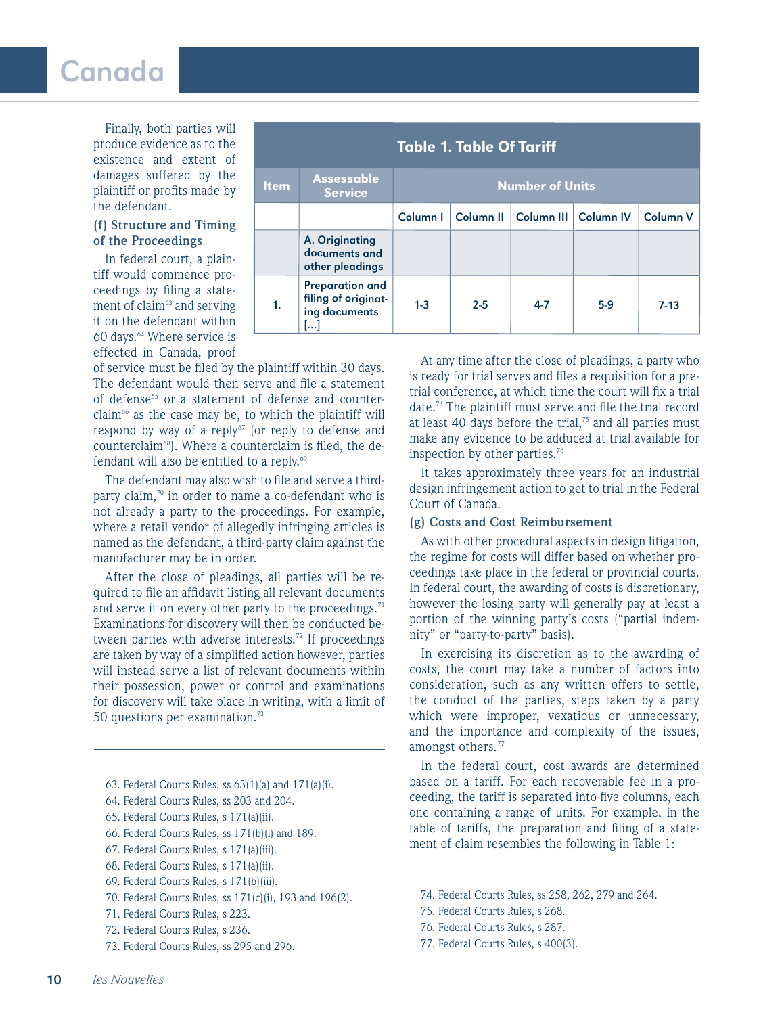# Canada

Finally, both parties will produce evidence as to the existence and extent of damages suffered by the plaintiff or profits made by the defendant.

## **(f) Structure and Timing of the Proceedings**

In federal court, a plaintiff would commence proceedings by filing a statement of claim<sup>63</sup> and serving it on the defendant within 60 days.<sup>64</sup> Where service is effected in Canada, proof

| <b>Table 1. Table Of Tariff</b> |                                                                                     |                        |                      |                        |       |                 |
|---------------------------------|-------------------------------------------------------------------------------------|------------------------|----------------------|------------------------|-------|-----------------|
| <b>Item</b>                     | <b>Assessable</b><br><b>Service</b>                                                 | <b>Number of Units</b> |                      |                        |       |                 |
|                                 |                                                                                     | Column I               | Column <sub>II</sub> | Column III   Column IV |       | <b>Column V</b> |
|                                 | A. Originating<br>documents and<br>other pleadings                                  |                        |                      |                        |       |                 |
| 1.                              | <b>Preparation and</b><br>filing of originat-<br>ing documents<br>$\left   \right $ | $1 - 3$                | $2 - 5$              | $4 - 7$                | $5-9$ | $7 - 13$        |

of service must be filed by the plaintiff within 30 days. The defendant would then serve and file a statement of defense<sup>65</sup> or a statement of defense and counterclaim<sup>66</sup> as the case may be, to which the plaintiff will respond by way of a reply<sup>67</sup> (or reply to defense and counterclaim<sup>68</sup>). Where a counterclaim is filed, the defendant will also be entitled to a reply.<sup>69</sup>

The defendant may also wish to file and serve a thirdparty claim, $70$  in order to name a co-defendant who is not already a party to the proceedings. For example, where a retail vendor of allegedly infringing articles is named as the defendant, a third-party claim against the manufacturer may be in order.

After the close of pleadings, all parties will be required to file an affidavit listing all relevant documents and serve it on every other party to the proceedings. $71$ Examinations for discovery will then be conducted between parties with adverse interests.<sup>72</sup> If proceedings are taken by way of a simplified action however, parties will instead serve a list of relevant documents within their possession, power or control and examinations for discovery will take place in writing, with a limit of 50 questions per examination.<sup>73</sup>

- 63. Federal Courts Rules, ss  $63(1)(a)$  and  $171(a)(i)$ .
- 64. Federal Courts Rules, ss 203 and 204.
- 65. Federal Courts Rules, s 171(a)(ii).
- 66. Federal Courts Rules, ss 171(b)(i) and 189.
- 67. Federal Courts Rules, s 171(a)(iii).
- 68. Federal Courts Rules, s 171(a)(ii).
- 69. Federal Courts Rules, s 171(b)(iii).
- 70. Federal Courts Rules, ss 171(c)(i), 193 and 196(2).
- 71. Federal Courts Rules, s 223.
- 72. Federal Courts Rules, s 236.
- 73. Federal Courts Rules, ss 295 and 296.

At any time after the close of pleadings, a party who is ready for trial serves and files a requisition for a pretrial conference, at which time the court will fix a trial date.<sup>74</sup> The plaintiff must serve and file the trial record at least 40 days before the trial, $75$  and all parties must make any evidence to be adduced at trial available for inspection by other parties.<sup>76</sup>

It takes approximately three years for an industrial design infringement action to get to trial in the Federal Court of Canada.

#### **(g) Costs and Cost Reimbursement**

As with other procedural aspects in design litigation, the regime for costs will differ based on whether proceedings take place in the federal or provincial courts. In federal court, the awarding of costs is discretionary, however the losing party will generally pay at least a portion of the winning party's costs ("partial indemnity" or "party-to-party" basis).

In exercising its discretion as to the awarding of costs, the court may take a number of factors into consideration, such as any written offers to settle, the conduct of the parties, steps taken by a party which were improper, vexatious or unnecessary, and the importance and complexity of the issues, amongst others.<sup>77</sup>

In the federal court, cost awards are determined based on a tariff. For each recoverable fee in a proceeding, the tariff is separated into five columns, each one containing a range of units. For example, in the table of tariffs, the preparation and filing of a statement of claim resembles the following in Table 1:

- 74. Federal Courts Rules, ss 258, 262, 279 and 264.
- 75. Federal Courts Rules, s 268.
- 76. Federal Courts Rules, s 287.
- 77. Federal Courts Rules, s 400(3).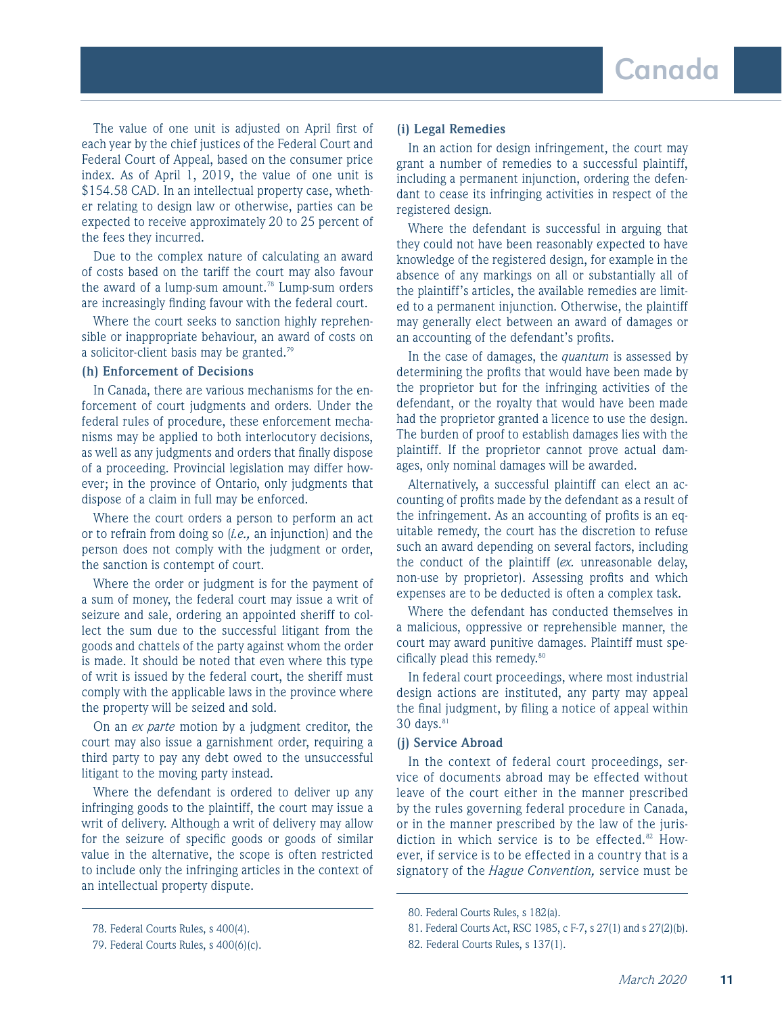The value of one unit is adjusted on April first of each year by the chief justices of the Federal Court and Federal Court of Appeal, based on the consumer price index. As of April 1, 2019, the value of one unit is \$154.58 CAD. In an intellectual property case, whether relating to design law or otherwise, parties can be expected to receive approximately 20 to 25 percent of the fees they incurred.

Due to the complex nature of calculating an award of costs based on the tariff the court may also favour the award of a lump-sum amount.<sup>78</sup> Lump-sum orders are increasingly finding favour with the federal court.

Where the court seeks to sanction highly reprehensible or inappropriate behaviour, an award of costs on a solicitor-client basis may be granted.<sup>79</sup>

## **(h) Enforcement of Decisions**

In Canada, there are various mechanisms for the enforcement of court judgments and orders. Under the federal rules of procedure, these enforcement mechanisms may be applied to both interlocutory decisions, as well as any judgments and orders that finally dispose of a proceeding. Provincial legislation may differ however; in the province of Ontario, only judgments that dispose of a claim in full may be enforced.

Where the court orders a person to perform an act or to refrain from doing so (*i.e.,* an injunction) and the person does not comply with the judgment or order, the sanction is contempt of court.

Where the order or judgment is for the payment of a sum of money, the federal court may issue a writ of seizure and sale, ordering an appointed sheriff to collect the sum due to the successful litigant from the goods and chattels of the party against whom the order is made. It should be noted that even where this type of writ is issued by the federal court, the sheriff must comply with the applicable laws in the province where the property will be seized and sold.

On an *ex parte* motion by a judgment creditor, the court may also issue a garnishment order, requiring a third party to pay any debt owed to the unsuccessful litigant to the moving party instead.

Where the defendant is ordered to deliver up any infringing goods to the plaintiff, the court may issue a writ of delivery. Although a writ of delivery may allow for the seizure of specific goods or goods of similar value in the alternative, the scope is often restricted to include only the infringing articles in the context of an intellectual property dispute.

#### **(i) Legal Remedies**

In an action for design infringement, the court may grant a number of remedies to a successful plaintiff, including a permanent injunction, ordering the defendant to cease its infringing activities in respect of the registered design.

Where the defendant is successful in arguing that they could not have been reasonably expected to have knowledge of the registered design, for example in the absence of any markings on all or substantially all of the plaintiff's articles, the available remedies are limited to a permanent injunction. Otherwise, the plaintiff may generally elect between an award of damages or an accounting of the defendant's profits.

In the case of damages, the *quantum* is assessed by determining the profits that would have been made by the proprietor but for the infringing activities of the defendant, or the royalty that would have been made had the proprietor granted a licence to use the design. The burden of proof to establish damages lies with the plaintiff. If the proprietor cannot prove actual damages, only nominal damages will be awarded.

Alternatively, a successful plaintiff can elect an accounting of profits made by the defendant as a result of the infringement. As an accounting of profits is an equitable remedy, the court has the discretion to refuse such an award depending on several factors, including the conduct of the plaintiff (*ex.* unreasonable delay, non-use by proprietor). Assessing profits and which expenses are to be deducted is often a complex task.

Where the defendant has conducted themselves in a malicious, oppressive or reprehensible manner, the court may award punitive damages. Plaintiff must specifically plead this remedy.<sup>80</sup>

In federal court proceedings, where most industrial design actions are instituted, any party may appeal the final judgment, by filing a notice of appeal within  $30$  days. $81$ 

## **(j) Service Abroad**

In the context of federal court proceedings, service of documents abroad may be effected without leave of the court either in the manner prescribed by the rules governing federal procedure in Canada, or in the manner prescribed by the law of the jurisdiction in which service is to be effected. $82$  However, if service is to be effected in a country that is a signatory of the *Hague Convention,* service must be

<sup>78.</sup> Federal Courts Rules, s 400(4).

<sup>79.</sup> Federal Courts Rules, s 400(6)(c).

<sup>80.</sup> Federal Courts Rules, s 182(a).

<sup>81.</sup> Federal Courts Act, RSC 1985, c F-7, s 27(1) and s 27(2)(b).

<sup>82.</sup> Federal Courts Rules, s 137(1).